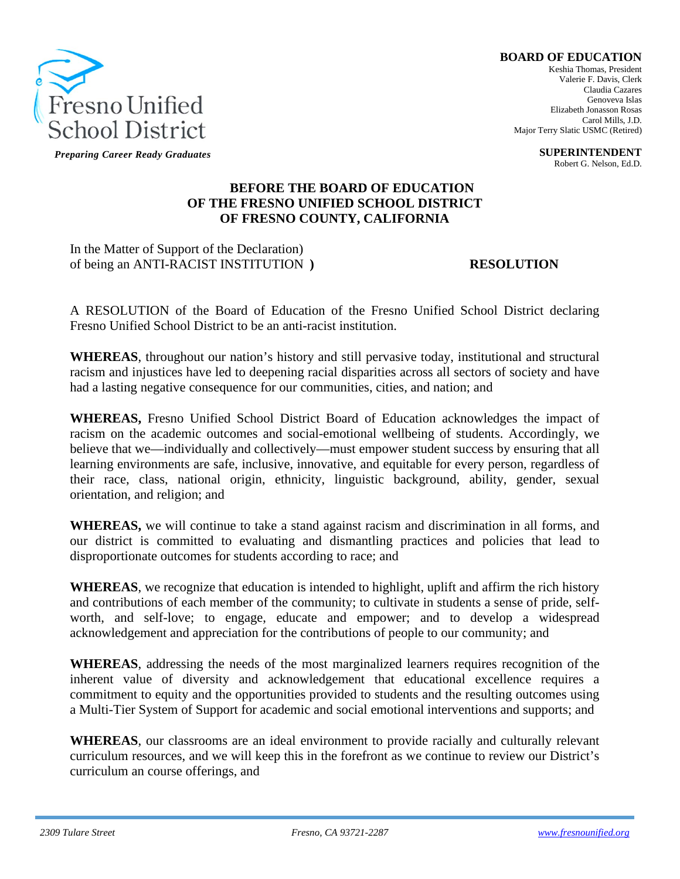

*Preparing Career Ready Graduates*

## **BOARD OF EDUCATION**

Keshia Thomas, President Valerie F. Davis, Clerk Claudia Cazares Genoveva Islas Elizabeth Jonasson Rosas Carol Mills, J.D. Major Terry Slatic USMC (Retired)

> **SUPERINTENDENT** Robert G. Nelson, Ed.D.

## **BEFORE THE BOARD OF EDUCATION OF THE FRESNO UNIFIED SCHOOL DISTRICT OF FRESNO COUNTY, CALIFORNIA**

## In the Matter of Support of the Declaration) of being an ANTI-RACIST INSTITUTION **) RESOLUTION**

A RESOLUTION of the Board of Education of the Fresno Unified School District declaring Fresno Unified School District to be an anti-racist institution.

**WHEREAS**, throughout our nation's history and still pervasive today, institutional and structural racism and injustices have led to deepening racial disparities across all sectors of society and have had a lasting negative consequence for our communities, cities, and nation; and

**WHEREAS,** Fresno Unified School District Board of Education acknowledges the impact of racism on the academic outcomes and social-emotional wellbeing of students. Accordingly, we believe that we—individually and collectively—must empower student success by ensuring that all learning environments are safe, inclusive, innovative, and equitable for every person, regardless of their race, class, national origin, ethnicity, linguistic background, ability, gender, sexual orientation, and religion; and

**WHEREAS,** we will continue to take a stand against racism and discrimination in all forms, and our district is committed to evaluating and dismantling practices and policies that lead to disproportionate outcomes for students according to race; and

**WHEREAS**, we recognize that education is intended to highlight, uplift and affirm the rich history and contributions of each member of the community; to cultivate in students a sense of pride, selfworth, and self-love; to engage, educate and empower; and to develop a widespread acknowledgement and appreciation for the contributions of people to our community; and

**WHEREAS**, addressing the needs of the most marginalized learners requires recognition of the inherent value of diversity and acknowledgement that educational excellence requires a commitment to equity and the opportunities provided to students and the resulting outcomes using a Multi-Tier System of Support for academic and social emotional interventions and supports; and

**WHEREAS**, our classrooms are an ideal environment to provide racially and culturally relevant curriculum resources, and we will keep this in the forefront as we continue to review our District's curriculum an course offerings, and